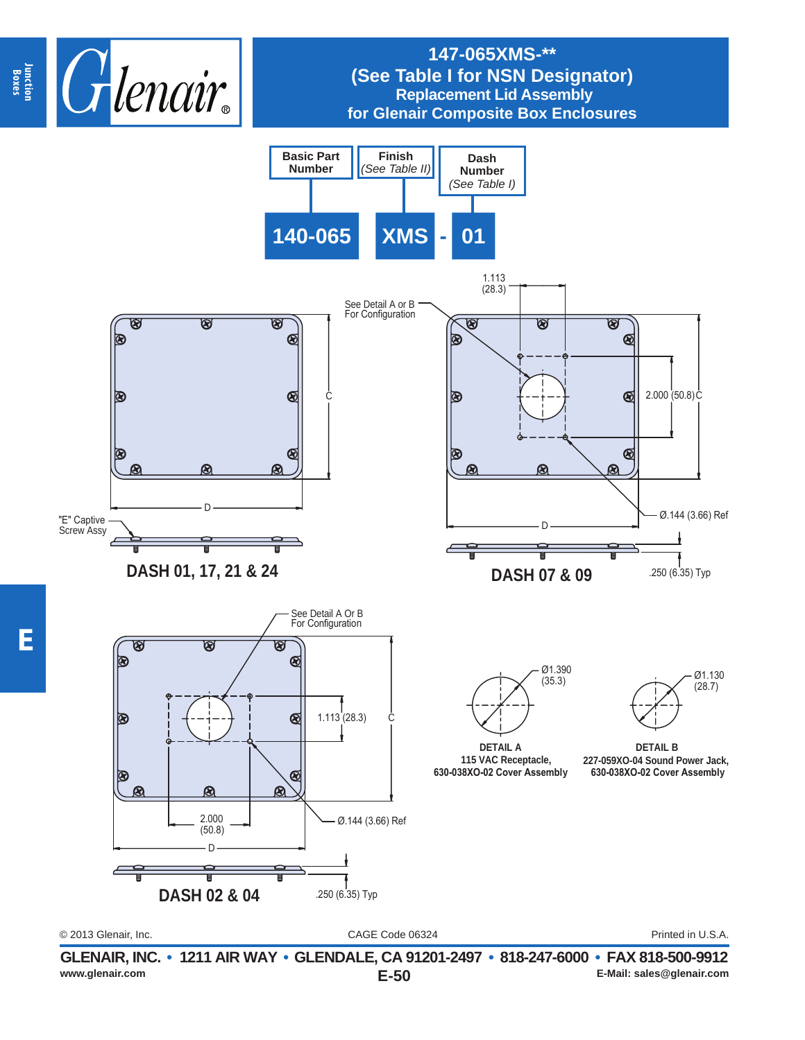

## **147-065XMS-\*\* (See Table I for NSN Designator) Replacement Lid Assembly for Glenair Composite Box Enclosures**

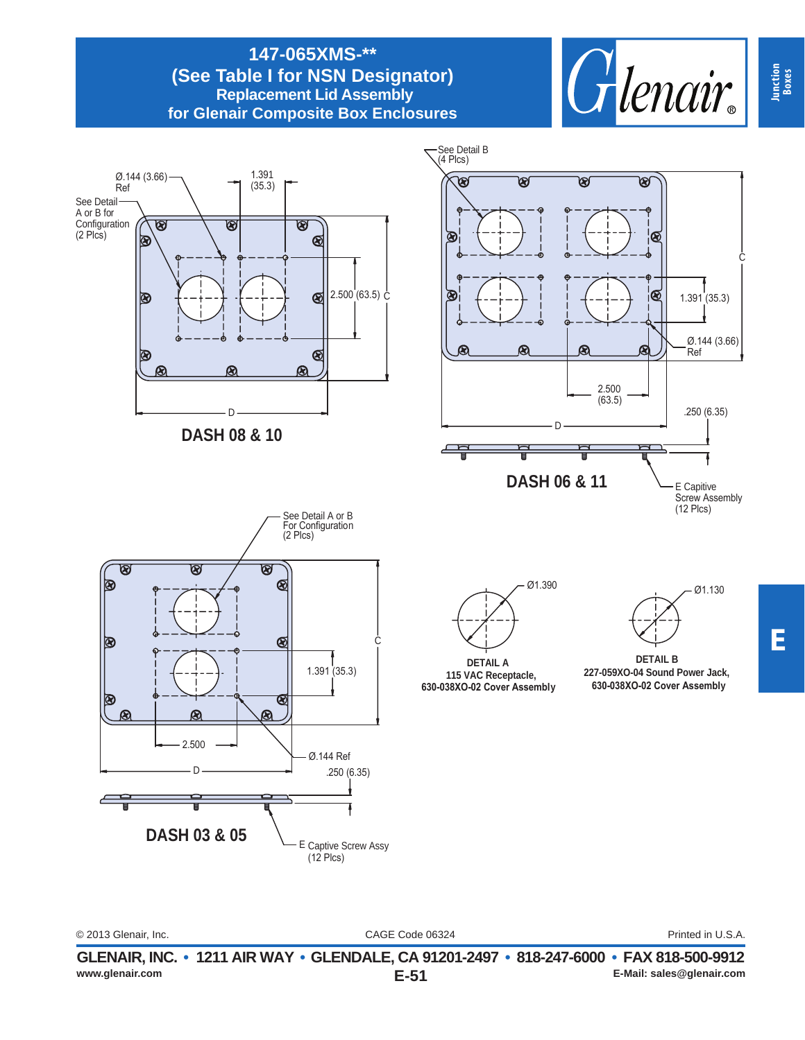#### **147-065XMS-\*\* (See Table I for NSN Designator) Replacement Lid Assembly for Glenair Composite Box Enclosures**



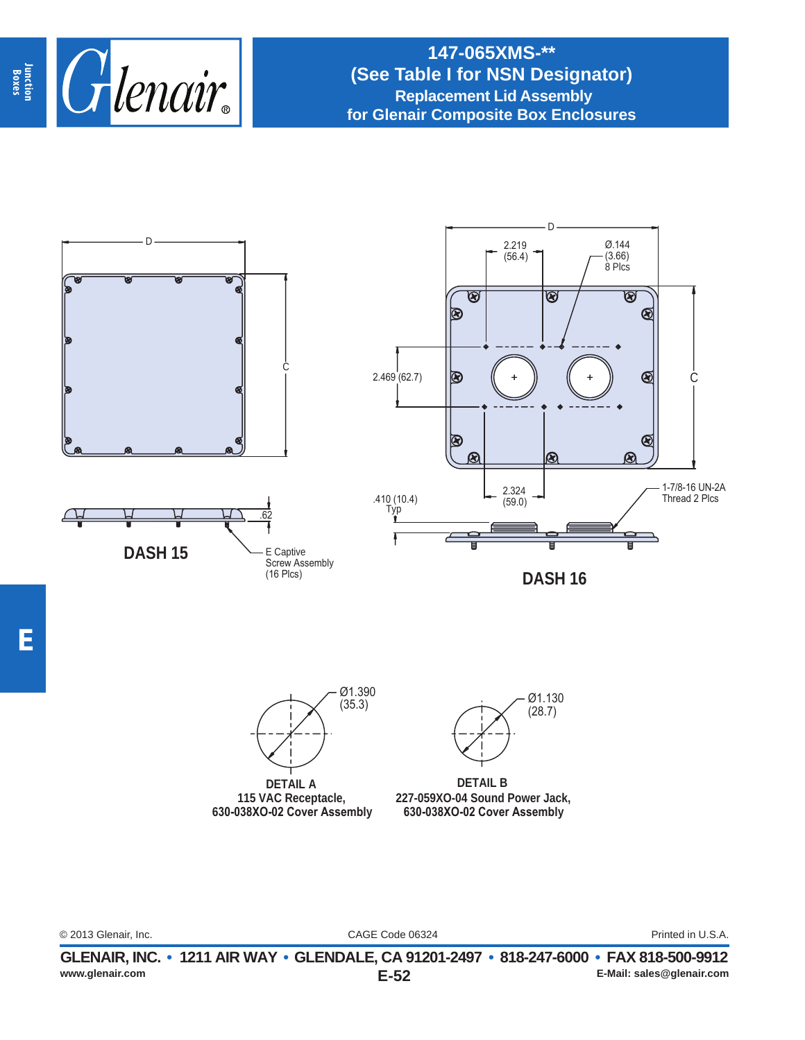

# **147-065XMS-\*\* (See Table I for NSN Designator) Replacement Lid Assembly for Glenair Composite Box Enclosures**

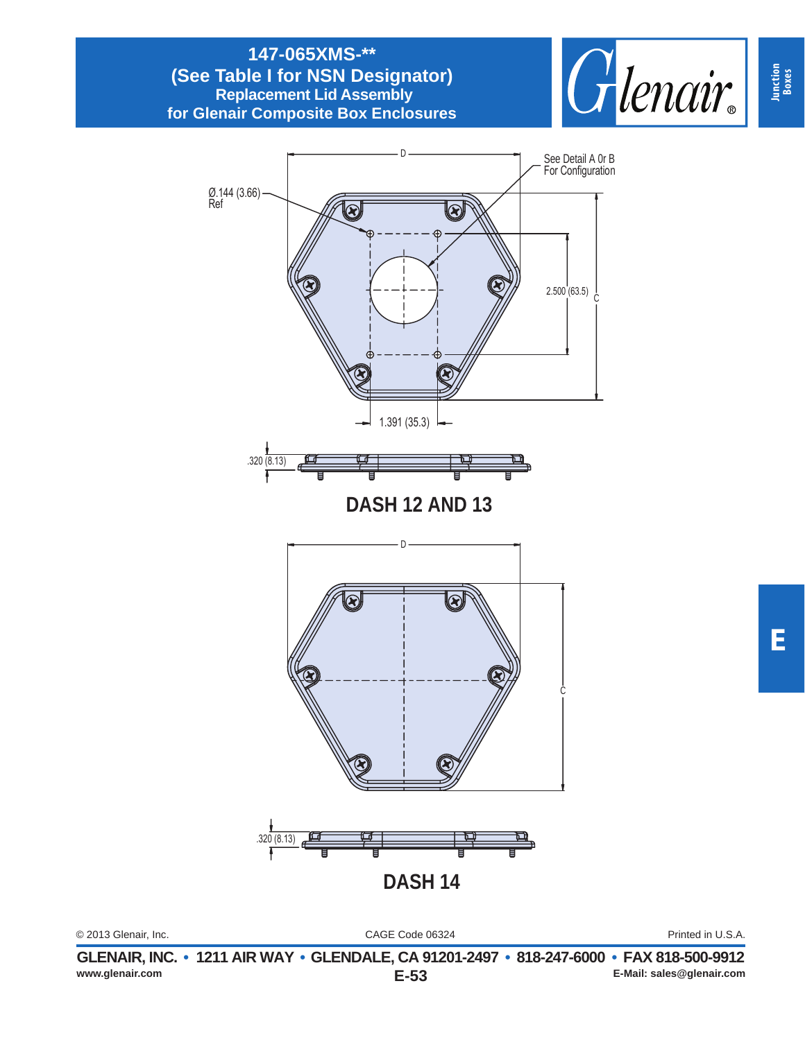### **147-065XMS-\*\* (See Table I for NSN Designator) Replacement Lid Assembly for Glenair Composite Box Enclosures**



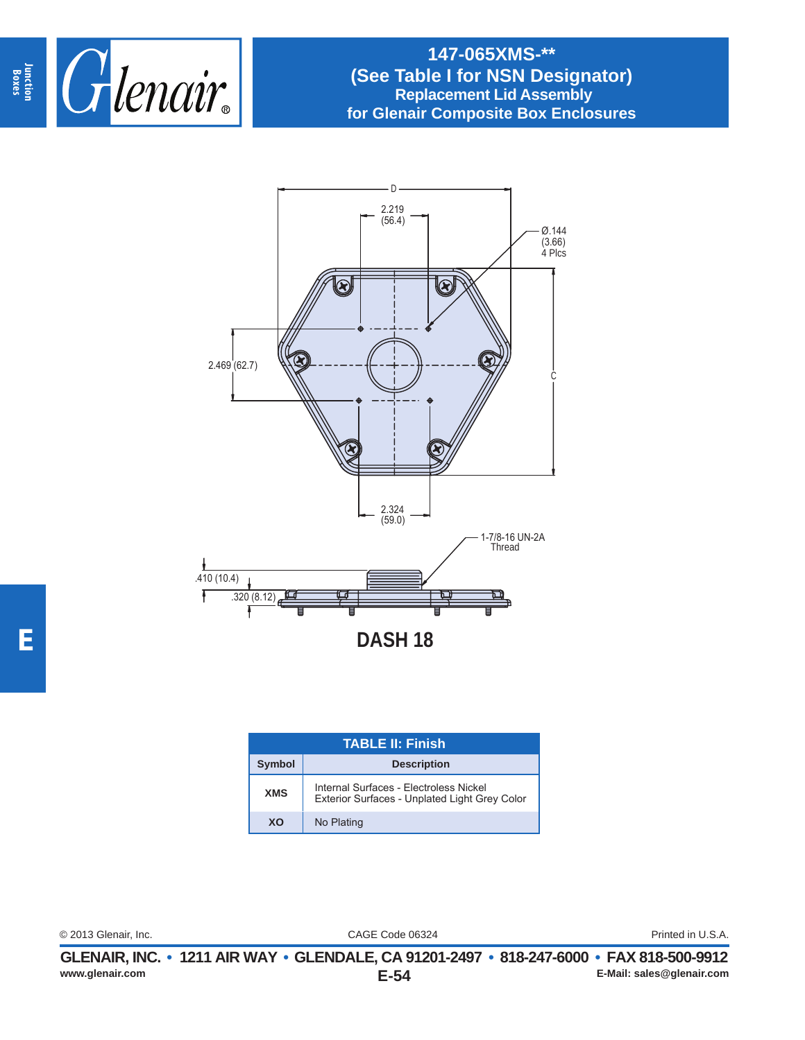

## **147-065XMS-\*\* (See Table I for NSN Designator) Replacement Lid Assembly for Glenair Composite Box Enclosures**



| TABLE II: Finish |                                                                                         |
|------------------|-----------------------------------------------------------------------------------------|
| <b>Symbol</b>    | <b>Description</b>                                                                      |
| <b>XMS</b>       | Internal Surfaces - Electroless Nickel<br>Exterior Surfaces - Unplated Light Grey Color |
| XO               | No Plating                                                                              |